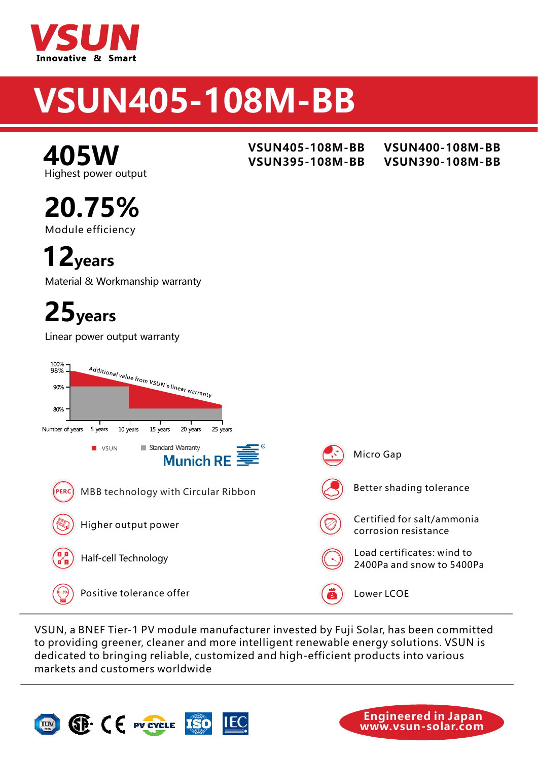

# **VSUN320-60M SUN405-108M-BB**

Highest power output **405W**

Module efficiency **20.75%**

**12years**

Material & Workmanship warranty

## **25years**

Linear power output warranty



VSUN, a BNEF Tier-1 PV module manufacturer invested by Fuji Solar, has been committed to providing greener, cleaner and more intelligent renewable energy solutions. VSUN is dedicated to bringing reliable, customized and high-efficient products into various markets and customers worldwide.





**www.vsun-solar.com Engineered in Japan** 

**VSUN405-108M-BB VSUN400-108M-BB VSUN395-108M-BB VSUN390-108M-BB**